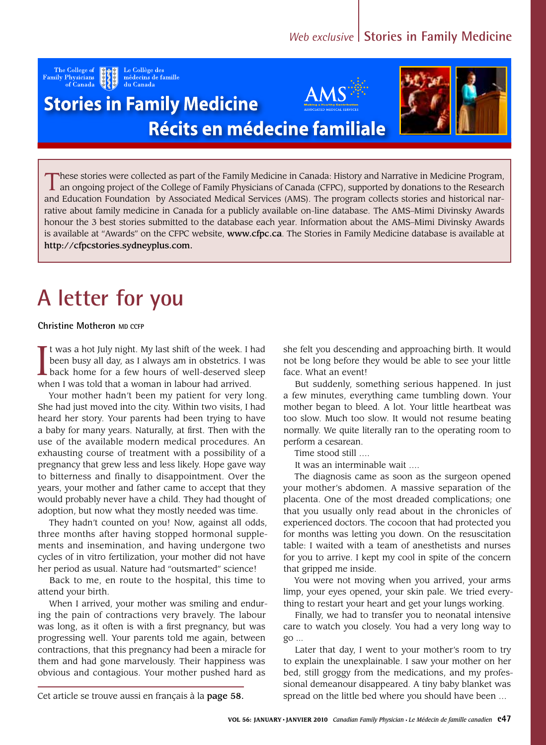

Le Conege des<br>médecins de famille<br>du Canada **Stories in Family Medicine** Récits en médecine familiale





These stories were collected as part of the Family Medicine in Canada: History and Narrative in Medicine Program, an ongoing project of the College of Family Physicians of Canada (CFPC), supported by donations to the Resea and Education Foundation by Associated Medical Services (AMS). The program collects stories and historical narrative about family medicine in Canada for a publicly available on-line database. The AMS–Mimi Divinsky Awards honour the 3 best stories submitted to the database each year. Information about the AMS–Mimi Divinsky Awards is available at "Awards" on the CFPC website, www.cfpc.ca. The Stories in Family Medicine database is available at http://cfpcstories.sydneyplus.com.

## **A letter for you**

## **Christine Motheron MD CCFP**

I was a hot July night. My last shift of the week. I h been busy all day, as I always am in obstetrics. I when I was told that a woman in labour had arrived. t was a hot July night. My last shift of the week. I had been busy all day, as I always am in obstetrics. I was back home for a few hours of well-deserved sleep

Your mother hadn't been my patient for very long. She had just moved into the city. Within two visits, I had heard her story. Your parents had been trying to have a baby for many years. Naturally, at first. Then with the use of the available modern medical procedures. An exhausting course of treatment with a possibility of a pregnancy that grew less and less likely. Hope gave way to bitterness and finally to disappointment. Over the years, your mother and father came to accept that they would probably never have a child. They had thought of adoption, but now what they mostly needed was time.

They hadn't counted on you! Now, against all odds, three months after having stopped hormonal supplements and insemination, and having undergone two cycles of in vitro fertilization, your mother did not have her period as usual. Nature had "outsmarted" science!

Back to me, en route to the hospital, this time to attend your birth.

When I arrived, your mother was smiling and enduring the pain of contractions very bravely. The labour was long, as it often is with a first pregnancy, but was progressing well. Your parents told me again, between contractions, that this pregnancy had been a miracle for them and had gone marvelously. Their happiness was obvious and contagious. Your mother pushed hard as

she felt you descending and approaching birth. It would not be long before they would be able to see your little face. What an event!

But suddenly, something serious happened. In just a few minutes, everything came tumbling down. Your mother began to bleed. A lot. Your little heartbeat was too slow. Much too slow. It would not resume beating normally. We quite literally ran to the operating room to perform a cesarean.

Time stood still ….

It was an interminable wait ….

The diagnosis came as soon as the surgeon opened your mother's abdomen. A massive separation of the placenta. One of the most dreaded complications; one that you usually only read about in the chronicles of experienced doctors. The cocoon that had protected you for months was letting you down. On the resuscitation table: I waited with a team of anesthetists and nurses for you to arrive. I kept my cool in spite of the concern that gripped me inside.

You were not moving when you arrived, your arms limp, your eyes opened, your skin pale. We tried everything to restart your heart and get your lungs working.

Finally, we had to transfer you to neonatal intensive care to watch you closely. You had a very long way to go ...

Later that day, I went to your mother's room to try to explain the unexplainable. I saw your mother on her bed, still groggy from the medications, and my professional demeanour disappeared. A tiny baby blanket was spread on the little bed where you should have been …

Cet article se trouve aussi en français à la page 58.